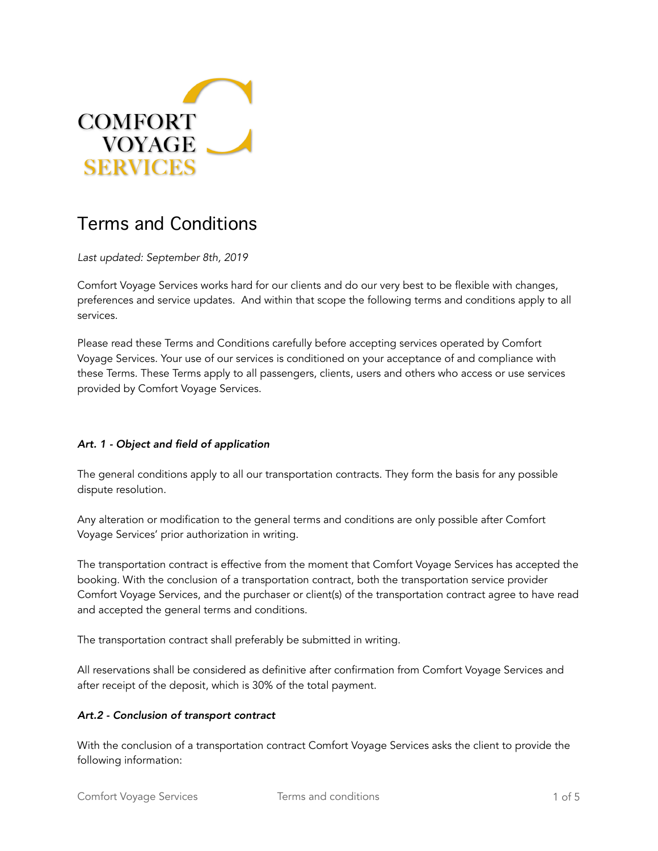

# Terms and Conditions

*Last updated: September 8th, 2019* 

Comfort Voyage Services works hard for our clients and do our very best to be flexible with changes, preferences and service updates. And within that scope the following terms and conditions apply to all services.

Please read these Terms and Conditions carefully before accepting services operated by Comfort Voyage Services. Your use of our services is conditioned on your acceptance of and compliance with these Terms. These Terms apply to all passengers, clients, users and others who access or use services provided by Comfort Voyage Services.

#### *Art. 1 - Object and field of application*

The general conditions apply to all our transportation contracts. They form the basis for any possible dispute resolution.

Any alteration or modification to the general terms and conditions are only possible after Comfort Voyage Services' prior authorization in writing.

The transportation contract is effective from the moment that Comfort Voyage Services has accepted the booking. With the conclusion of a transportation contract, both the transportation service provider Comfort Voyage Services, and the purchaser or client(s) of the transportation contract agree to have read and accepted the general terms and conditions.

The transportation contract shall preferably be submitted in writing.

All reservations shall be considered as definitive after confirmation from Comfort Voyage Services and after receipt of the deposit, which is 30% of the total payment.

#### *Art.2 - Conclusion of transport contract*

With the conclusion of a transportation contract Comfort Voyage Services asks the client to provide the following information: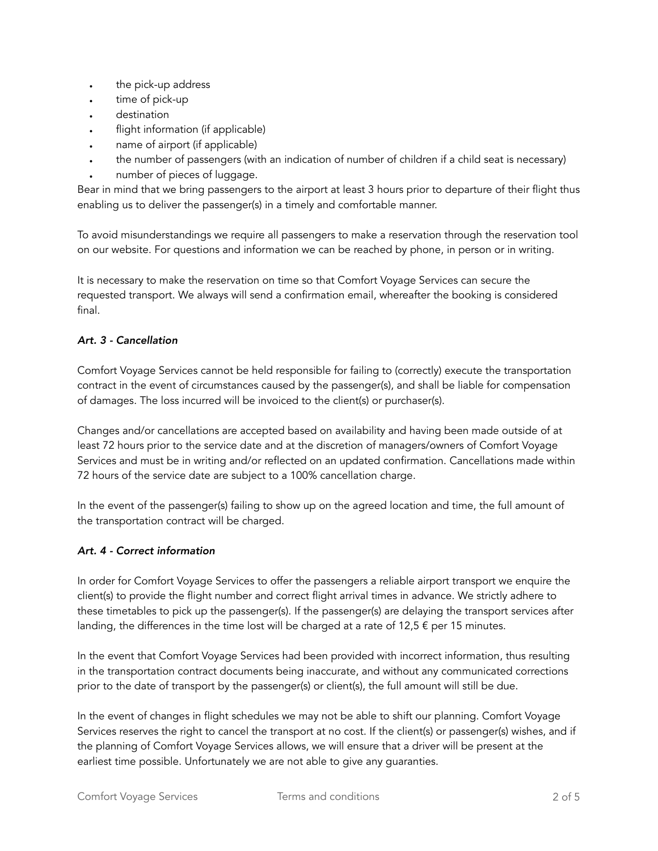- the pick-up address
- time of pick-up
- destination
- flight information (if applicable)
- name of airport (if applicable)
- the number of passengers (with an indication of number of children if a child seat is necessary)
- number of pieces of luggage.

Bear in mind that we bring passengers to the airport at least 3 hours prior to departure of their flight thus enabling us to deliver the passenger(s) in a timely and comfortable manner.

To avoid misunderstandings we require all passengers to make a reservation through the reservation tool on our website. For questions and information we can be reached by phone, in person or in writing.

It is necessary to make the reservation on time so that Comfort Voyage Services can secure the requested transport. We always will send a confirmation email, whereafter the booking is considered final.

# *Art. 3 - Cancellation*

Comfort Voyage Services cannot be held responsible for failing to (correctly) execute the transportation contract in the event of circumstances caused by the passenger(s), and shall be liable for compensation of damages. The loss incurred will be invoiced to the client(s) or purchaser(s).

Changes and/or cancellations are accepted based on availability and having been made outside of at least 72 hours prior to the service date and at the discretion of managers/owners of Comfort Voyage Services and must be in writing and/or reflected on an updated confirmation. Cancellations made within 72 hours of the service date are subject to a 100% cancellation charge.

In the event of the passenger(s) failing to show up on the agreed location and time, the full amount of the transportation contract will be charged.

# *Art. 4 - Correct information*

In order for Comfort Voyage Services to offer the passengers a reliable airport transport we enquire the client(s) to provide the flight number and correct flight arrival times in advance. We strictly adhere to these timetables to pick up the passenger(s). If the passenger(s) are delaying the transport services after landing, the differences in the time lost will be charged at a rate of 12,5  $\epsilon$  per 15 minutes.

In the event that Comfort Voyage Services had been provided with incorrect information, thus resulting in the transportation contract documents being inaccurate, and without any communicated corrections prior to the date of transport by the passenger(s) or client(s), the full amount will still be due.

In the event of changes in flight schedules we may not be able to shift our planning. Comfort Voyage Services reserves the right to cancel the transport at no cost. If the client(s) or passenger(s) wishes, and if the planning of Comfort Voyage Services allows, we will ensure that a driver will be present at the earliest time possible. Unfortunately we are not able to give any guaranties.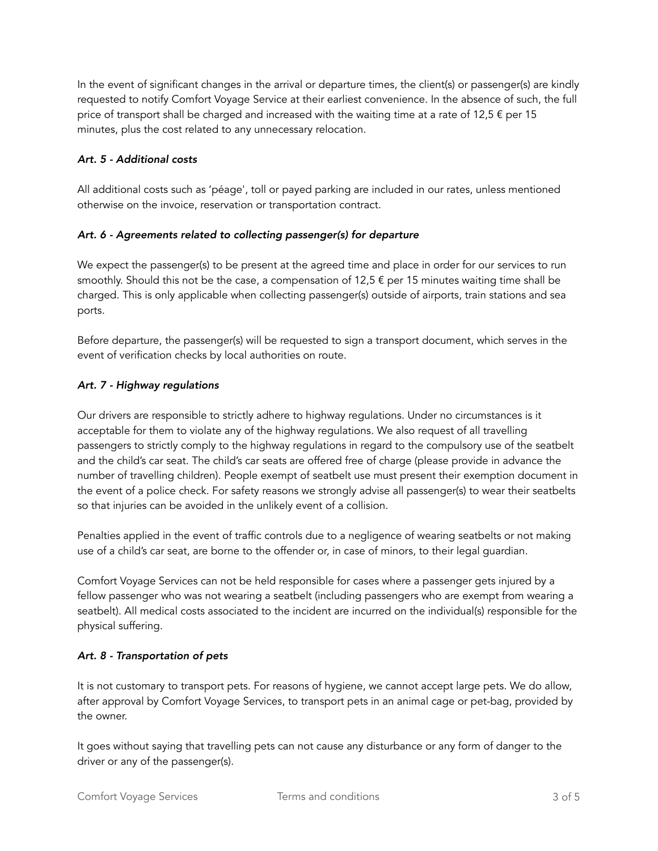In the event of significant changes in the arrival or departure times, the client(s) or passenger(s) are kindly requested to notify Comfort Voyage Service at their earliest convenience. In the absence of such, the full price of transport shall be charged and increased with the waiting time at a rate of 12,5  $\epsilon$  per 15 minutes, plus the cost related to any unnecessary relocation.

## *Art. 5 - Additional costs*

All additional costs such as 'péage', toll or payed parking are included in our rates, unless mentioned otherwise on the invoice, reservation or transportation contract.

## *Art. 6 - Agreements related to collecting passenger(s) for departure*

We expect the passenger(s) to be present at the agreed time and place in order for our services to run smoothly. Should this not be the case, a compensation of  $12.5 \text{ } \in \text{}$  per 15 minutes waiting time shall be charged. This is only applicable when collecting passenger(s) outside of airports, train stations and sea ports.

Before departure, the passenger(s) will be requested to sign a transport document, which serves in the event of verification checks by local authorities on route.

## *Art. 7 - Highway regulations*

Our drivers are responsible to strictly adhere to highway regulations. Under no circumstances is it acceptable for them to violate any of the highway regulations. We also request of all travelling passengers to strictly comply to the highway regulations in regard to the compulsory use of the seatbelt and the child's car seat. The child's car seats are offered free of charge (please provide in advance the number of travelling children). People exempt of seatbelt use must present their exemption document in the event of a police check. For safety reasons we strongly advise all passenger(s) to wear their seatbelts so that injuries can be avoided in the unlikely event of a collision.

Penalties applied in the event of traffic controls due to a negligence of wearing seatbelts or not making use of a child's car seat, are borne to the offender or, in case of minors, to their legal guardian.

Comfort Voyage Services can not be held responsible for cases where a passenger gets injured by a fellow passenger who was not wearing a seatbelt (including passengers who are exempt from wearing a seatbelt). All medical costs associated to the incident are incurred on the individual(s) responsible for the physical suffering.

# *Art. 8 - Transportation of pets*

It is not customary to transport pets. For reasons of hygiene, we cannot accept large pets. We do allow, after approval by Comfort Voyage Services, to transport pets in an animal cage or pet-bag, provided by the owner.

It goes without saying that travelling pets can not cause any disturbance or any form of danger to the driver or any of the passenger(s).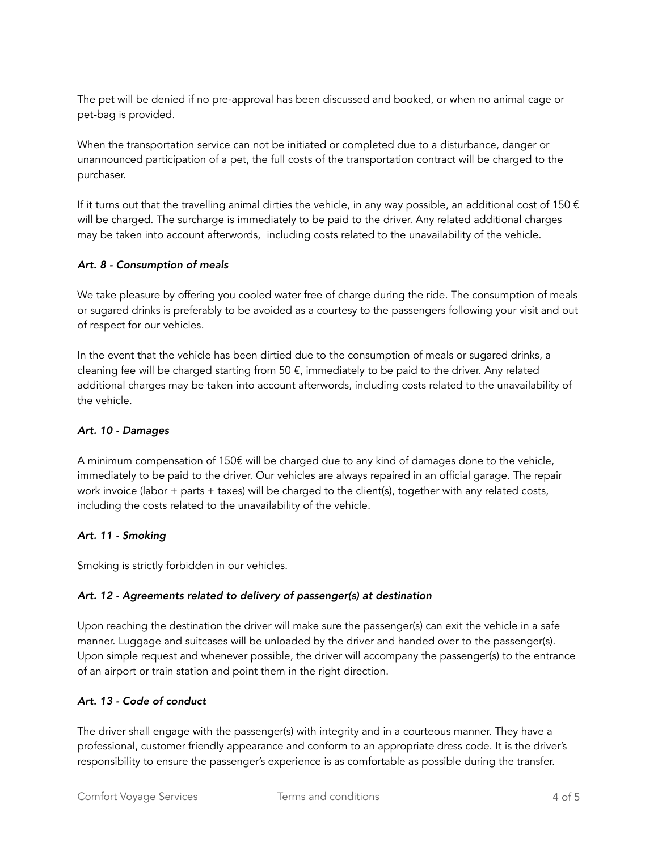The pet will be denied if no pre-approval has been discussed and booked, or when no animal cage or pet-bag is provided.

When the transportation service can not be initiated or completed due to a disturbance, danger or unannounced participation of a pet, the full costs of the transportation contract will be charged to the purchaser.

If it turns out that the travelling animal dirties the vehicle, in any way possible, an additional cost of 150  $\epsilon$ will be charged. The surcharge is immediately to be paid to the driver. Any related additional charges may be taken into account afterwords, including costs related to the unavailability of the vehicle.

## *Art. 8 - Consumption of meals*

We take pleasure by offering you cooled water free of charge during the ride. The consumption of meals or sugared drinks is preferably to be avoided as a courtesy to the passengers following your visit and out of respect for our vehicles.

In the event that the vehicle has been dirtied due to the consumption of meals or sugared drinks, a cleaning fee will be charged starting from 50  $\epsilon$ , immediately to be paid to the driver. Any related additional charges may be taken into account afterwords, including costs related to the unavailability of the vehicle.

#### *Art. 10 - Damages*

A minimum compensation of 150€ will be charged due to any kind of damages done to the vehicle, immediately to be paid to the driver. Our vehicles are always repaired in an official garage. The repair work invoice (labor + parts + taxes) will be charged to the client(s), together with any related costs, including the costs related to the unavailability of the vehicle.

# *Art. 11 - Smoking*

Smoking is strictly forbidden in our vehicles.

# *Art. 12 - Agreements related to delivery of passenger(s) at destination*

Upon reaching the destination the driver will make sure the passenger(s) can exit the vehicle in a safe manner. Luggage and suitcases will be unloaded by the driver and handed over to the passenger(s). Upon simple request and whenever possible, the driver will accompany the passenger(s) to the entrance of an airport or train station and point them in the right direction.

#### *Art. 13 - Code of conduct*

The driver shall engage with the passenger(s) with integrity and in a courteous manner. They have a professional, customer friendly appearance and conform to an appropriate dress code. It is the driver's responsibility to ensure the passenger's experience is as comfortable as possible during the transfer.